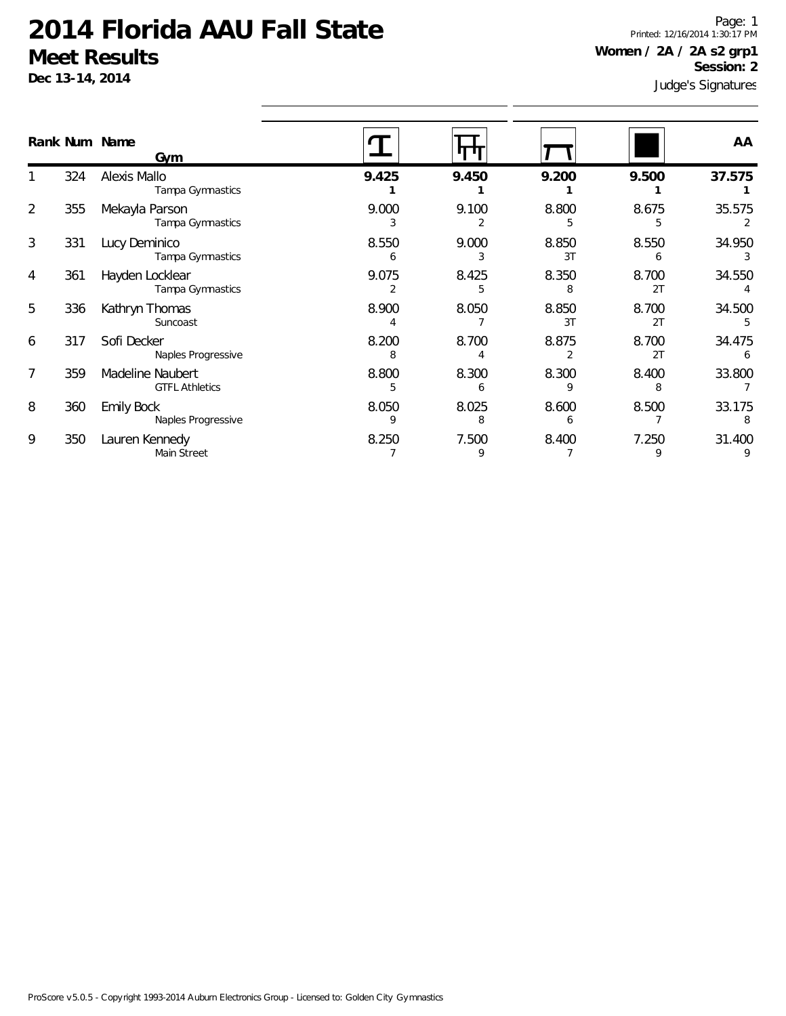**Dec 13-14, 2014**

Judge's Signatures Page: 1 Printed: 12/16/2014 1:30:17 PM **Women / 2A / 2A s2 grp1 Session: 2**

|   |     | Rank Num Name<br>Gym                      |            |            |             |             | AA          |
|---|-----|-------------------------------------------|------------|------------|-------------|-------------|-------------|
|   | 324 | Alexis Mallo<br>Tampa Gymnastics          | 9.425      | 9.450      | 9.200       | 9.500       | 37.575      |
| 2 | 355 | Mekayla Parson<br>Tampa Gymnastics        | 9.000      | 9.100      | 8.800       | 8.675       | 35.575      |
| 3 | 331 | Lucy Deminico<br>Tampa Gymnastics         | 8.550      | 9.000      | 8.850<br>3T | 8.550       | 34.950      |
| 4 | 361 | Hayden Locklear<br>Tampa Gymnastics       | 9.075      | 8.425      | 8.350       | 8.700<br>2T | 34.550      |
| 5 | 336 | Kathryn Thomas<br>Suncoast                | 8.900      | 8.050      | 8.850<br>3T | 8.700<br>2T | 34.500      |
| 6 | 317 | Sofi Decker<br>Naples Progressive         | 8.200<br>8 | 8.700      | 8.875<br>2  | 8.700<br>2T | 34.475<br>6 |
|   | 359 | Madeline Naubert<br><b>GTFL Athletics</b> | 8.800      | 8.300      | 8.300       | 8.400       | 33.800      |
| 8 | 360 | <b>Emily Bock</b><br>Naples Progressive   | 8.050<br>9 | 8.025<br>8 | 8.600<br>h  | 8.500       | 33.175<br>8 |
| 9 | 350 | Lauren Kennedy<br>Main Street             | 8.250      | 7.500<br>9 | 8.400       | 7.250<br>9  | 31.400      |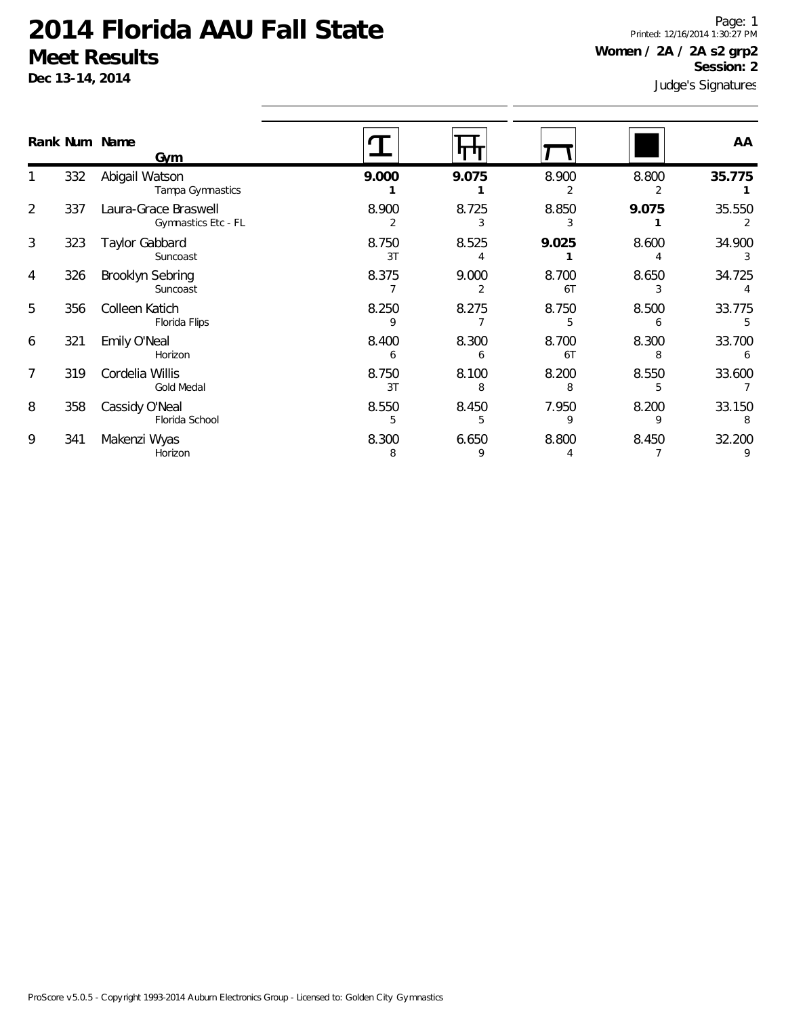**Dec 13-14, 2014**

Judge's Signatures Page: 1 Printed: 12/16/2014 1:30:27 PM **Women / 2A / 2A s2 grp2 Session: 2**

|   |     | Rank Num Name<br>Gym                        |             |            |             |            | AA          |
|---|-----|---------------------------------------------|-------------|------------|-------------|------------|-------------|
|   | 332 | Abigail Watson<br>Tampa Gymnastics          | 9.000       | 9.075      | 8.900       | 8.800      | 35.775      |
| 2 | 337 | Laura-Grace Braswell<br>Gymnastics Etc - FL | 8.900       | 8.725      | 8.850       | 9.075      | 35.550      |
| 3 | 323 | Taylor Gabbard<br>Suncoast                  | 8.750<br>3T | 8.525      | 9.025       | 8.600      | 34.900      |
| 4 | 326 | <b>Brooklyn Sebring</b><br>Suncoast         | 8.375       | 9.000      | 8.700<br>6T | 8.650      | 34.725      |
| 5 | 356 | Colleen Katich<br>Florida Flips             | 8.250<br>q  | 8.275      | 8.750       | 8.500      | 33.775      |
| 6 | 321 | Emily O'Neal<br>Horizon                     | 8.400<br>6  | 8.300<br>b | 8.700<br>6T | 8.300<br>8 | 33.700      |
| 7 | 319 | Cordelia Willis<br><b>Gold Medal</b>        | 8.750<br>3T | 8.100      | 8.200       | 8.550      | 33.600      |
| 8 | 358 | Cassidy O'Neal<br>Florida School            | 8.550<br>5  | 8.450<br>5 | 7.950<br>9  | 8.200<br>q | 33.150<br>8 |
| 9 | 341 | Makenzi Wyas<br>Horizon                     | 8.300<br>8  | 6.650<br>9 | 8.800       | 8.450      | 32.200      |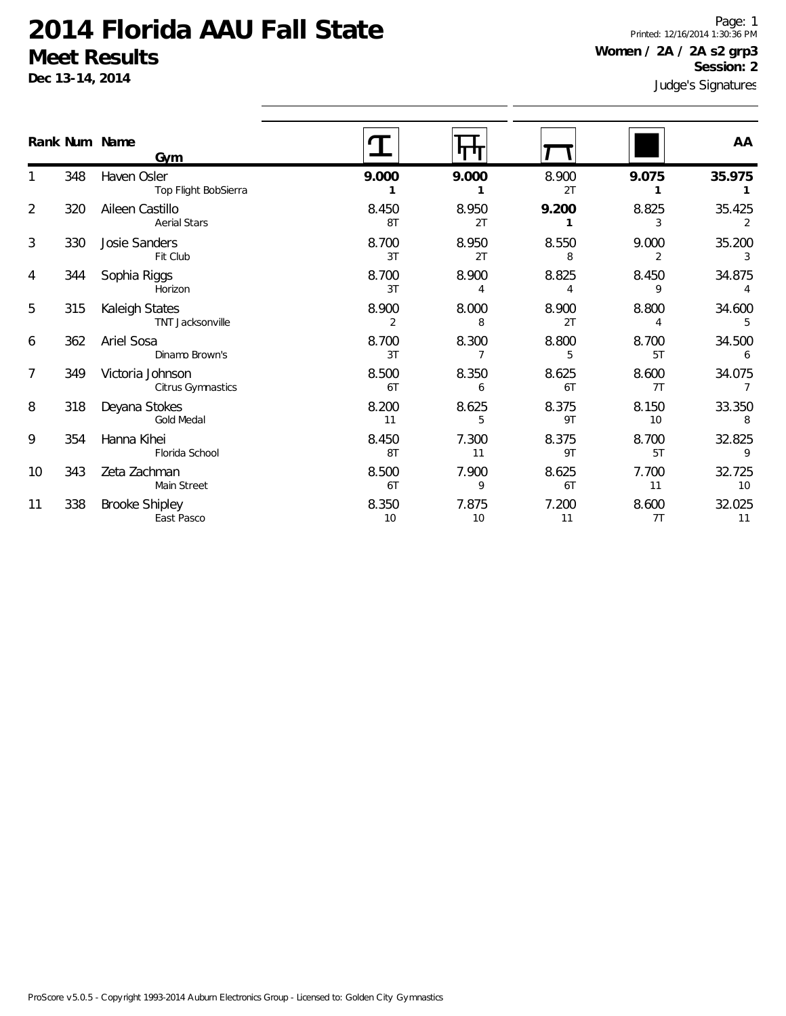**Dec 13-14, 2014**

Judge's Signatures Page: 1 Printed: 12/16/2014 1:30:36 PM **Women / 2A / 2A s2 grp3 Session: 2**

|                | Rank Num Name | Gym                                       |             |             |             |             | AA                       |
|----------------|---------------|-------------------------------------------|-------------|-------------|-------------|-------------|--------------------------|
|                | 348           | Haven Osler<br>Top Flight BobSierra       | 9.000       | 9.000       | 8.900<br>2T | 9.075       | 35.975                   |
| $\overline{2}$ | 320           | Aileen Castillo<br><b>Aerial Stars</b>    | 8.450<br>8T | 8.950<br>2T | 9.200       | 8.825<br>3  | 35.425                   |
| 3              | 330           | Josie Sanders<br>Fit Club                 | 8.700<br>3T | 8.950<br>2T | 8.550<br>8  | 9.000       | 35.200<br>3              |
| 4              | 344           | Sophia Riggs<br>Horizon                   | 8.700<br>3T | 8.900<br>4  | 8.825<br>4  | 8.450<br>9  | 34.875<br>$\overline{4}$ |
| 5              | 315           | Kaleigh States<br><b>TNT Jacksonville</b> | 8.900<br>2  | 8.000<br>8  | 8.900<br>2T | 8.800<br>4  | 34.600<br>5              |
| 6              | 362           | Ariel Sosa<br>Dinamo Brown's              | 8.700<br>3T | 8.300       | 8.800<br>5  | 8.700<br>5T | 34.500<br>6              |
| 7              | 349           | Victoria Johnson<br>Citrus Gymnastics     | 8.500<br>6T | 8.350<br>6  | 8.625<br>6T | 8.600<br>7T | 34.075                   |
| 8              | 318           | Deyana Stokes<br><b>Gold Medal</b>        | 8.200<br>11 | 8.625<br>5  | 8.375<br>9T | 8.150<br>10 | 33.350<br>8              |
| 9              | 354           | Hanna Kihei<br>Florida School             | 8.450<br>8T | 7.300<br>11 | 8.375<br>9T | 8.700<br>5T | 32.825<br>9              |
| 10             | 343           | Zeta Zachman<br>Main Street               | 8.500<br>6T | 7.900<br>9  | 8.625<br>6T | 7.700<br>11 | 32.725<br>10             |
| 11             | 338           | <b>Brooke Shipley</b><br>East Pasco       | 8.350<br>10 | 7.875<br>10 | 7.200<br>11 | 8.600<br>7T | 32.025<br>11             |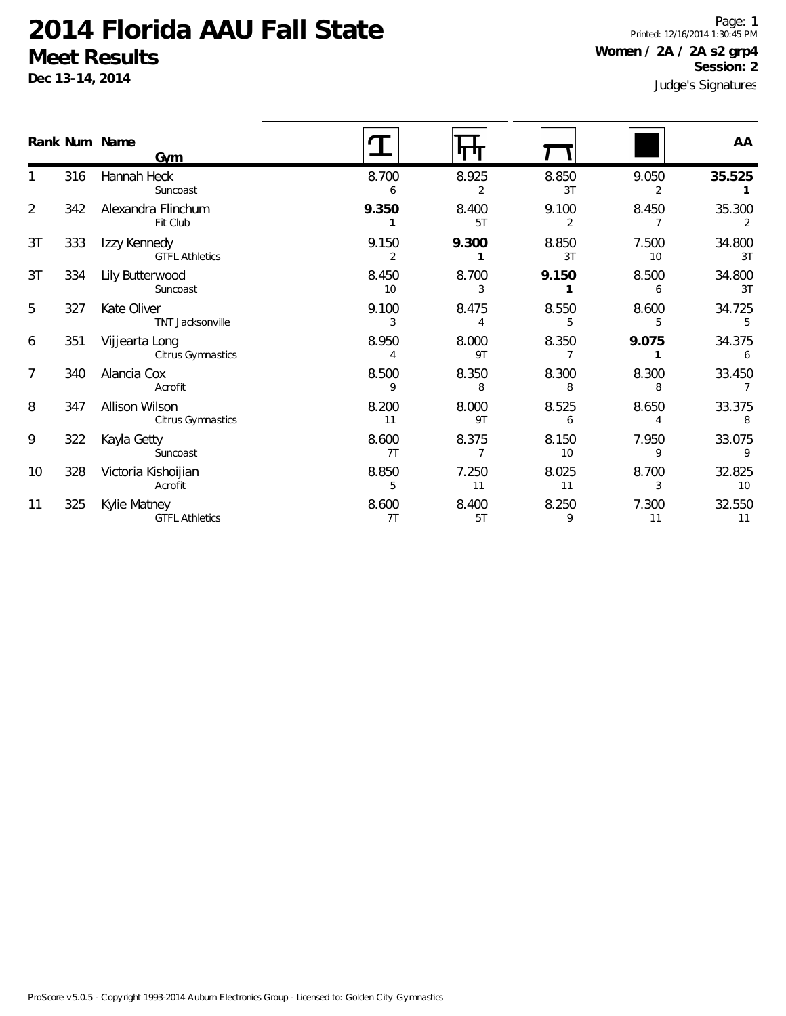**Dec 13-14, 2014**

Judge's Signatures Page: 1 Printed: 12/16/2014 1:30:45 PM **Women / 2A / 2A s2 grp4 Session: 2**

|                | Rank Num Name | Gym                                   |                         |             |             |             | AA           |
|----------------|---------------|---------------------------------------|-------------------------|-------------|-------------|-------------|--------------|
|                | 316           | Hannah Heck<br>Suncoast               | 8.700<br>6              | 8.925<br>2  | 8.850<br>3T | 9.050<br>2  | 35.525       |
| $\overline{2}$ | 342           | Alexandra Flinchum<br>Fit Club        | 9.350                   | 8.400<br>5T | 9.100<br>2  | 8.450       | 35.300<br>2  |
| 3T             | 333           | Izzy Kennedy<br><b>GTFL Athletics</b> | 9.150<br>$\overline{2}$ | 9.300       | 8.850<br>3T | 7.500<br>10 | 34.800<br>3T |
| 3T             | 334           | Lily Butterwood<br>Suncoast           | 8.450<br>10             | 8.700<br>3  | 9.150       | 8.500<br>6  | 34.800<br>3T |
| 5              | 327           | Kate Oliver<br>TNT Jacksonville       | 9.100<br>3              | 8.475       | 8.550       | 8.600       | 34.725<br>5  |
| 6              | 351           | Vijjearta Long<br>Citrus Gymnastics   | 8.950<br>$\overline{4}$ | 8.000<br>9T | 8.350       | 9.075       | 34.375<br>6  |
| 7              | 340           | Alancia Cox<br>Acrofit                | 8.500<br>9              | 8.350<br>8  | 8.300<br>8  | 8.300<br>8  | 33.450       |
| 8              | 347           | Allison Wilson<br>Citrus Gymnastics   | 8.200<br>11             | 8.000<br>9T | 8.525<br>6  | 8.650       | 33.375<br>8  |
| 9              | 322           | Kayla Getty<br>Suncoast               | 8.600<br>7T             | 8.375       | 8.150<br>10 | 7.950<br>9  | 33.075<br>9  |
| 10             | 328           | Victoria Kishoijian<br>Acrofit        | 8.850<br>5              | 7.250<br>11 | 8.025<br>11 | 8.700       | 32.825<br>10 |
| 11             | 325           | Kylie Matney<br><b>GTFL Athletics</b> | 8.600<br>7T             | 8.400<br>5T | 8.250<br>9  | 7.300<br>11 | 32.550<br>11 |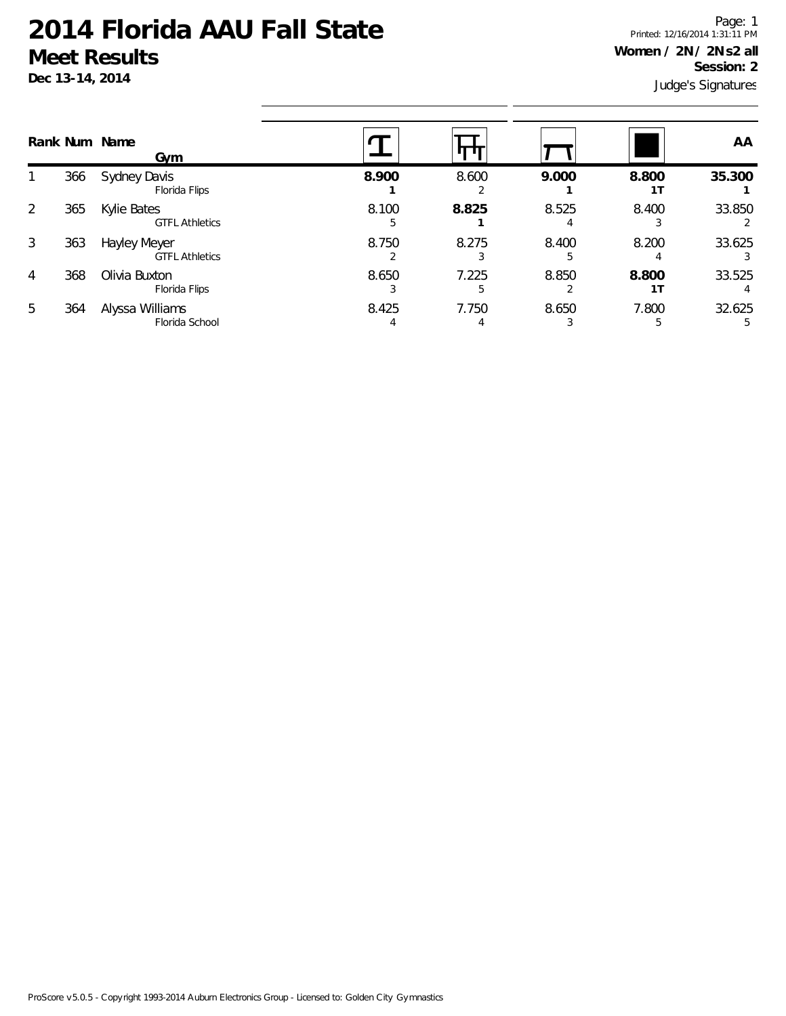**Dec 13-14, 2014**

Judge's Signatures Page: 1 Printed: 12/16/2014 1:31:11 PM **Women / 2N / 2N s2 all Session: 2**

|   |     | Rank Num Name<br>Gym                  |       |            |       |       | AA     |
|---|-----|---------------------------------------|-------|------------|-------|-------|--------|
|   | 366 | Sydney Davis<br>Florida Flips         | 8.900 | 8.600      | 9.000 | 8.800 | 35.300 |
| 2 | 365 | Kylie Bates<br><b>GTFL Athletics</b>  | 8.100 | 8.825      | 8.525 | 8.400 | 33.850 |
| 3 | 363 | Hayley Meyer<br><b>GTFL Athletics</b> | 8.750 | 8.275      | 8.400 | 8.200 | 33.625 |
| 4 | 368 | Olivia Buxton<br>Florida Flips        | 8.650 | 7.225<br>5 | 8.850 | 8.800 | 33.525 |
| 5 | 364 | Alyssa Williams<br>Florida School     | 8.425 | 7.750      | 8.650 | 7.800 | 32.625 |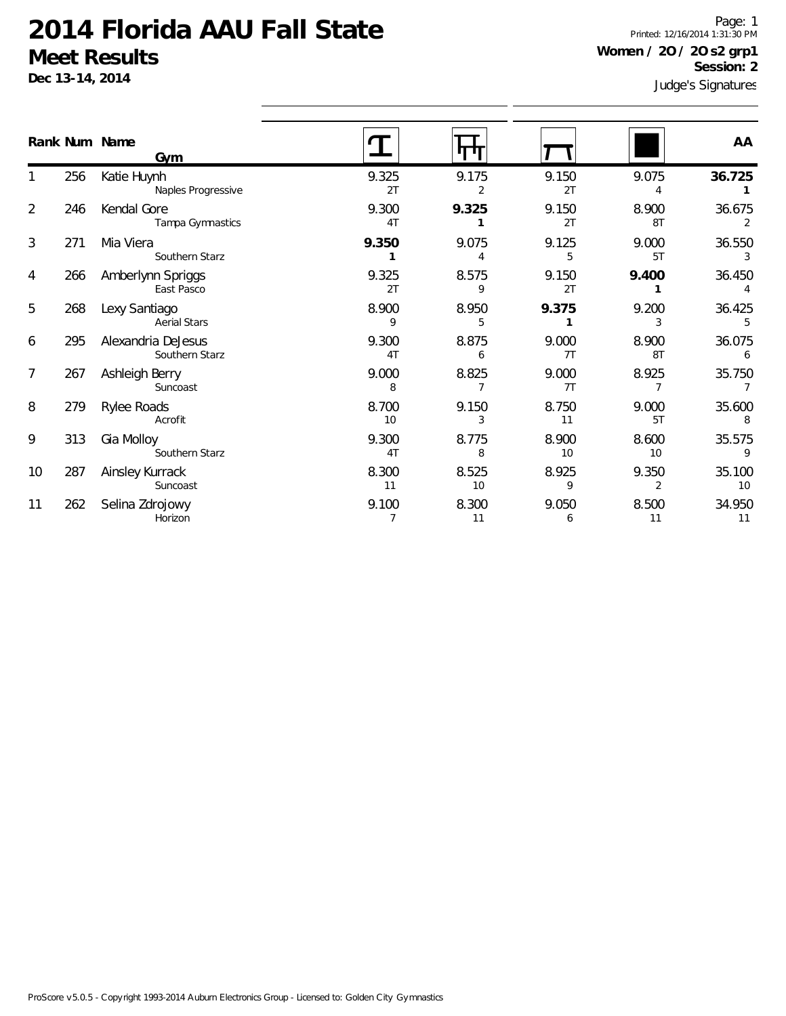**Dec 13-14, 2014**

Judge's Signatures Page: 1 Printed: 12/16/2014 1:31:30 PM **Women / 2O / 2O s2 grp1 Session: 2**

|                |     | Rank Num Name<br>Gym                 |             |             |             |             | AA           |
|----------------|-----|--------------------------------------|-------------|-------------|-------------|-------------|--------------|
|                | 256 | Katie Huynh<br>Naples Progressive    | 9.325<br>2T | 9.175<br>2  | 9.150<br>2T | 9.075       | 36.725       |
| $\overline{2}$ | 246 | Kendal Gore<br>Tampa Gymnastics      | 9.300<br>4T | 9.325       | 9.150<br>2T | 8.900<br>8T | 36.675<br>2  |
| 3              | 271 | Mia Viera<br>Southern Starz          | 9.350       | 9.075       | 9.125<br>5  | 9.000<br>5T | 36.550<br>3  |
| 4              | 266 | Amberlynn Spriggs<br>East Pasco      | 9.325<br>2T | 8.575<br>9  | 9.150<br>2T | 9.400       | 36.450       |
| 5              | 268 | Lexy Santiago<br><b>Aerial Stars</b> | 8.900<br>9  | 8.950<br>5  | 9.375       | 9.200       | 36.425<br>5  |
| 6              | 295 | Alexandria DeJesus<br>Southern Starz | 9.300<br>4T | 8.875<br>6  | 9.000<br>7T | 8.900<br>8T | 36.075<br>6  |
| 7              | 267 | Ashleigh Berry<br>Suncoast           | 9.000<br>8  | 8.825       | 9.000<br>7T | 8.925       | 35.750       |
| 8              | 279 | Rylee Roads<br>Acrofit               | 8.700<br>10 | 9.150<br>3  | 8.750<br>11 | 9.000<br>5T | 35.600<br>8  |
| 9              | 313 | Gia Molloy<br>Southern Starz         | 9.300<br>4T | 8.775<br>8  | 8.900<br>10 | 8.600<br>10 | 35.575<br>9  |
| 10             | 287 | Ainsley Kurrack<br>Suncoast          | 8.300<br>11 | 8.525<br>10 | 8.925<br>9  | 9.350<br>2  | 35.100<br>10 |
| 11             | 262 | Selina Zdrojowy<br>Horizon           | 9.100       | 8.300<br>11 | 9.050<br>6  | 8.500<br>11 | 34.950<br>11 |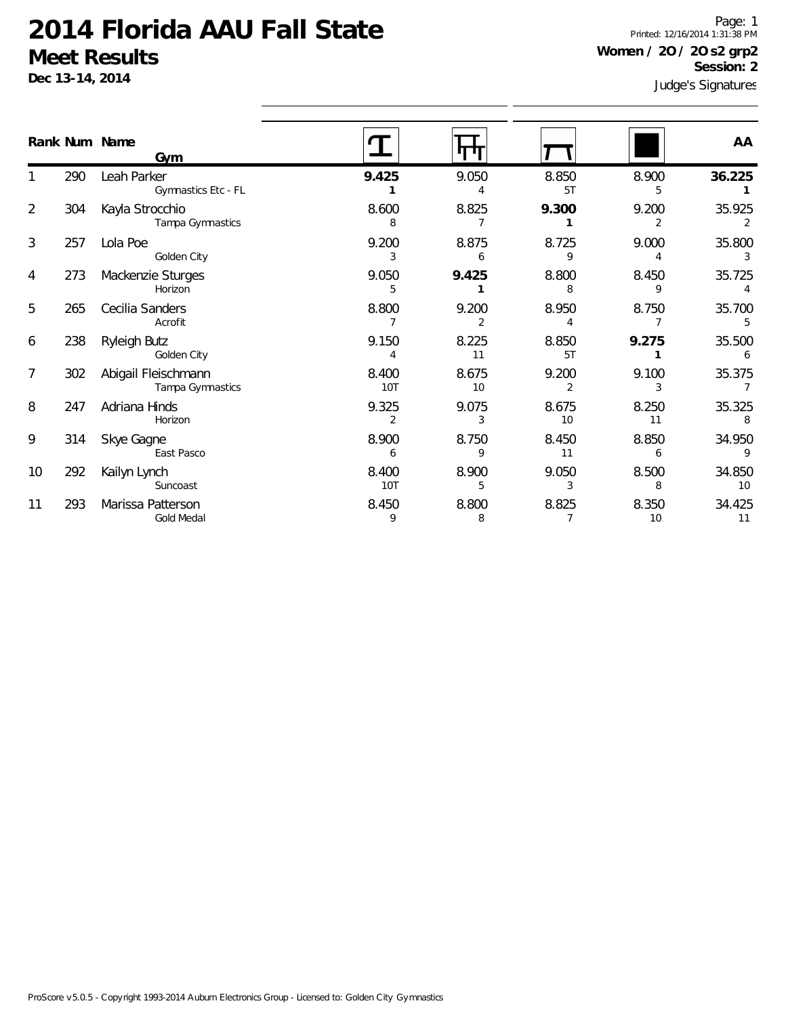**Dec 13-14, 2014**

Judge's Signatures Page: 1 Printed: 12/16/2014 1:31:38 PM **Women / 2O / 2O s2 grp2 Session: 2**

|                |     | Rank Num Name<br>Gym                    |                         |             |             |                         | AA                       |
|----------------|-----|-----------------------------------------|-------------------------|-------------|-------------|-------------------------|--------------------------|
|                | 290 | Leah Parker<br>Gymnastics Etc - FL      | 9.425                   | 9.050       | 8.850<br>5T | 8.900<br>5              | 36.225                   |
| $\overline{2}$ | 304 | Kayla Strocchio<br>Tampa Gymnastics     | 8.600<br>8              | 8.825       | 9.300       | 9.200<br>$\overline{2}$ | 35.925<br>$\overline{2}$ |
| $\mathfrak{Z}$ | 257 | Lola Poe<br>Golden City                 | 9.200<br>3              | 8.875<br>6  | 8.725<br>9  | 9.000                   | 35.800                   |
| 4              | 273 | Mackenzie Sturges<br>Horizon            | 9.050<br>5              | 9.425       | 8.800       | 8.450<br>9              | 35.725                   |
| 5              | 265 | Cecilia Sanders<br>Acrofit              | 8.800                   | 9.200<br>2  | 8.950       | 8.750                   | 35.700<br>5              |
| 6              | 238 | Ryleigh Butz<br>Golden City             | 9.150                   | 8.225<br>11 | 8.850<br>5T | 9.275                   | 35.500<br>6              |
| $\overline{7}$ | 302 | Abigail Fleischmann<br>Tampa Gymnastics | 8.400<br><b>10T</b>     | 8.675<br>10 | 9.200       | 9.100<br>3              | 35.375                   |
| 8              | 247 | Adriana Hinds<br>Horizon                | 9.325<br>$\overline{2}$ | 9.075<br>3  | 8.675<br>10 | 8.250<br>11             | 35.325<br>8              |
| 9              | 314 | Skye Gagne<br>East Pasco                | 8.900<br>6              | 8.750<br>9  | 8.450<br>11 | 8.850<br>6              | 34.950<br>9              |
| 10             | 292 | Kailyn Lynch<br>Suncoast                | 8.400<br>10T            | 8.900<br>5  | 9.050<br>3  | 8.500<br>8              | 34.850<br>10             |
| 11             | 293 | Marissa Patterson<br><b>Gold Medal</b>  | 8.450<br>9              | 8.800<br>8  | 8.825       | 8.350<br>10             | 34.425<br>11             |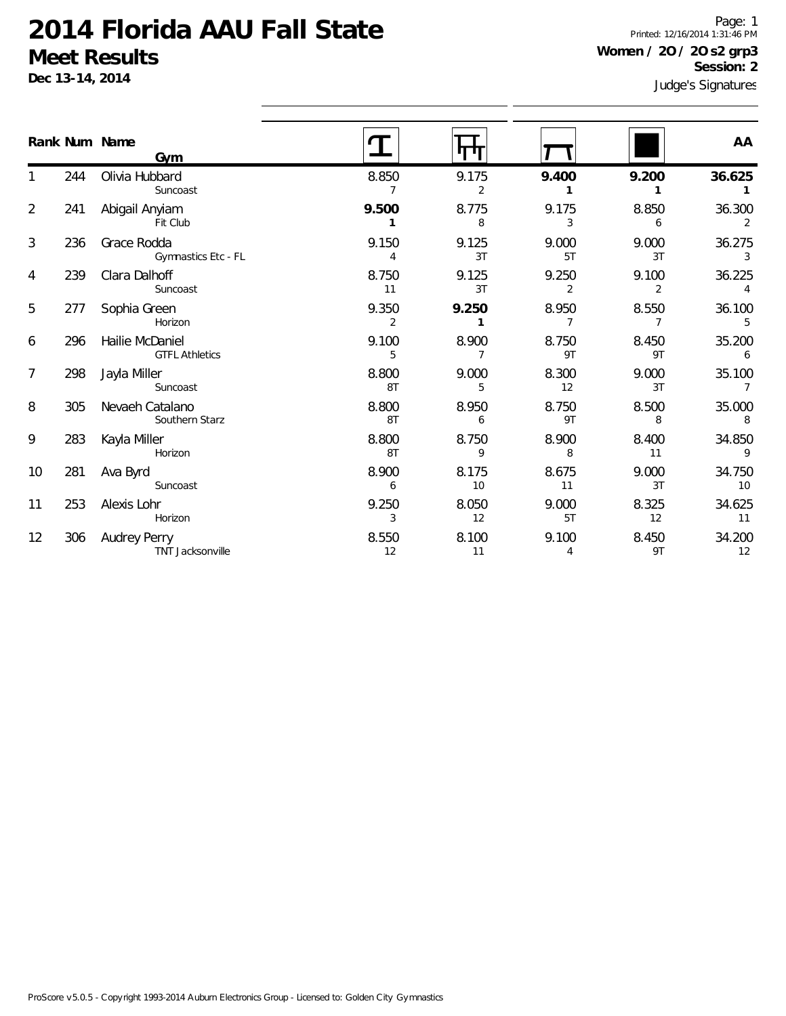**Dec 13-14, 2014**

Judge's Signatures Page: 1 Printed: 12/16/2014 1:31:46 PM **Women / 2O / 2O s2 grp3 Session: 2**

|                |     | Rank Num Name<br>Gym                     |                         |             |             |                         | AA                       |
|----------------|-----|------------------------------------------|-------------------------|-------------|-------------|-------------------------|--------------------------|
|                | 244 | Olivia Hubbard<br>Suncoast               | 8.850<br>7              | 9.175<br>2  | 9.400<br>1  | 9.200<br>1              | 36.625<br>$\overline{1}$ |
| $\overline{2}$ | 241 | Abigail Anyiam<br>Fit Club               | 9.500                   | 8.775<br>8  | 9.175<br>3  | 8.850<br>6              | 36.300<br>2              |
| 3              | 236 | Grace Rodda<br>Gymnastics Etc - FL       | 9.150<br>4              | 9.125<br>3T | 9.000<br>5T | 9.000<br>3T             | 36.275<br>3              |
| 4              | 239 | Clara Dalhoff<br>Suncoast                | 8.750<br>11             | 9.125<br>3T | 9.250<br>2  | 9.100<br>2              | 36.225                   |
| 5              | 277 | Sophia Green<br>Horizon                  | 9.350<br>$\overline{2}$ | 9.250<br>1  | 8.950<br>7  | 8.550<br>$\overline{7}$ | 36.100<br>5              |
| 6              | 296 | Hailie McDaniel<br><b>GTFL Athletics</b> | 9.100<br>5              | 8.900<br>7  | 8.750<br>9T | 8.450<br>9T             | 35.200<br>6              |
| $\overline{7}$ | 298 | Jayla Miller<br>Suncoast                 | 8.800<br>8T             | 9.000<br>5  | 8.300<br>12 | 9.000<br>3T             | 35.100<br>$\overline{7}$ |
| 8              | 305 | Nevaeh Catalano<br>Southern Starz        | 8.800<br>8T             | 8.950<br>6  | 8.750<br>9T | 8.500<br>8              | 35.000<br>8              |
| 9              | 283 | Kayla Miller<br>Horizon                  | 8.800<br>8T             | 8.750<br>9  | 8.900<br>8  | 8.400<br>11             | 34.850<br>9              |
| 10             | 281 | Ava Byrd<br>Suncoast                     | 8.900<br>6              | 8.175<br>10 | 8.675<br>11 | 9.000<br>3T             | 34.750<br>10             |
| 11             | 253 | Alexis Lohr<br>Horizon                   | 9.250<br>3              | 8.050<br>12 | 9.000<br>5T | 8.325<br>12             | 34.625<br>11             |
| 12             | 306 | Audrey Perry<br><b>TNT Jacksonville</b>  | 8.550<br>12             | 8.100<br>11 | 9.100<br>4  | 8.450<br>9T             | 34.200<br>12             |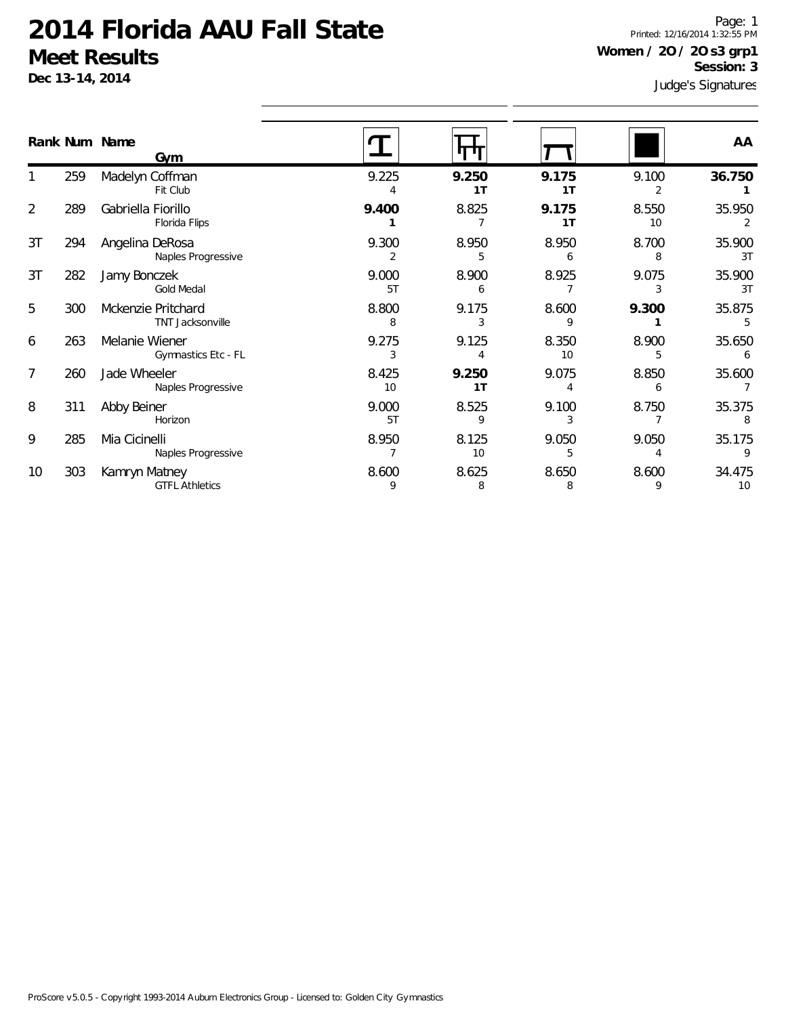**Dec 13-14, 2014**

Judge's Signatures Page: 1 Printed: 12/16/2014 1:32:55 PM **Women / 2O / 2O s3 grp1 Session: 3**

|                |     | Rank Num Name<br>Gym                   |             |             |             |             | AA           |
|----------------|-----|----------------------------------------|-------------|-------------|-------------|-------------|--------------|
|                | 259 | Madelyn Coffman<br>Fit Club            | 9.225       | 9.250<br>1T | 9.175<br>1T | 9.100       | 36.750       |
| $\overline{2}$ | 289 | Gabriella Fiorillo<br>Florida Flips    | 9.400       | 8.825       | 9.175<br>1T | 8.550<br>10 | 35.950       |
| 3T             | 294 | Angelina DeRosa<br>Naples Progressive  | 9.300       | 8.950<br>5  | 8.950<br>6  | 8.700<br>8  | 35.900<br>3T |
| 3T             | 282 | Jamy Bonczek<br><b>Gold Medal</b>      | 9.000<br>5T | 8.900<br>6  | 8.925       | 9.075<br>3  | 35.900<br>3T |
| 5              | 300 | Mckenzie Pritchard<br>TNT Jacksonville | 8.800<br>8  | 9.175       | 8.600<br>9  | 9.300       | 35.875       |
| 6              | 263 | Melanie Wiener<br>Gymnastics Etc - FL  | 9.275<br>3  | 9.125       | 8.350<br>10 | 8.900<br>5  | 35.650<br>6  |
| 7              | 260 | Jade Wheeler<br>Naples Progressive     | 8.425<br>10 | 9.250<br>1T | 9.075       | 8.850<br>6  | 35.600       |
| 8              | 311 | Abby Beiner<br>Horizon                 | 9.000<br>5T | 8.525<br>9  | 9.100       | 8.750       | 35.375       |
| 9              | 285 | Mia Cicinelli<br>Naples Progressive    | 8.950       | 8.125<br>10 | 9.050       | 9.050       | 35.175<br>9  |
| 10             | 303 | Kamryn Matney<br><b>GTFL Athletics</b> | 8.600<br>9  | 8.625<br>8  | 8.650<br>8  | 8.600<br>9  | 34.475<br>10 |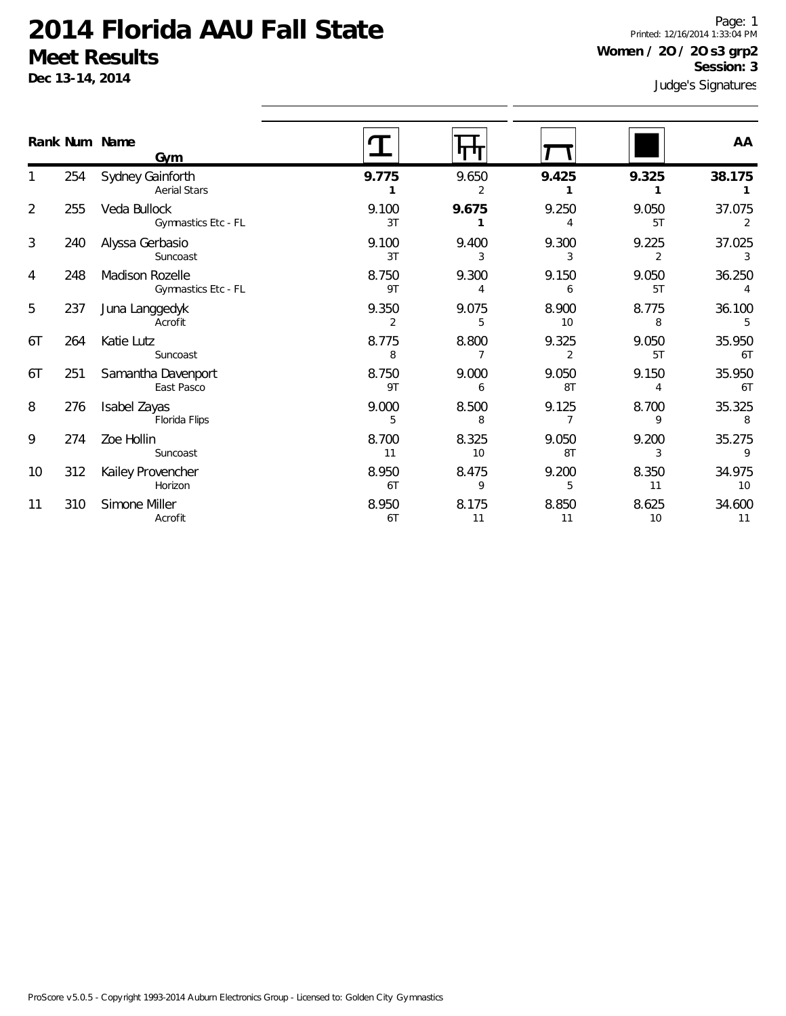**Dec 13-14, 2014**

Judge's Signatures Page: 1 Printed: 12/16/2014 1:33:04 PM **Women / 2O / 2O s3 grp2 Session: 3**

|                |     | Rank Num Name                                 |             |             |             |                         | AA           |
|----------------|-----|-----------------------------------------------|-------------|-------------|-------------|-------------------------|--------------|
|                |     | Gym                                           |             |             |             |                         |              |
|                | 254 | Sydney Gainforth<br><b>Aerial Stars</b>       | 9.775       | 9.650<br>2  | 9.425       | 9.325                   | 38.175       |
| $\overline{2}$ | 255 | Veda Bullock<br>Gymnastics Etc - FL           | 9.100<br>3T | 9.675       | 9.250<br>4  | 9.050<br>5T             | 37.075<br>2  |
| 3              | 240 | Alyssa Gerbasio<br>Suncoast                   | 9.100<br>3T | 9.400<br>3  | 9.300<br>3  | 9.225<br>$\overline{2}$ | 37.025<br>3  |
| 4              | 248 | <b>Madison Rozelle</b><br>Gymnastics Etc - FL | 8.750<br>9T | 9.300<br>4  | 9.150<br>6  | 9.050<br>5T             | 36.250<br>4  |
| 5              | 237 | Juna Langgedyk<br>Acrofit                     | 9.350<br>2  | 9.075<br>5  | 8.900<br>10 | 8.775<br>8              | 36.100<br>5  |
| 6T             | 264 | Katie Lutz<br>Suncoast                        | 8.775<br>8  | 8.800       | 9.325<br>2  | 9.050<br>5T             | 35.950<br>6T |
| 6T             | 251 | Samantha Davenport<br>East Pasco              | 8.750<br>9T | 9.000<br>6  | 9.050<br>8T | 9.150<br>4              | 35.950<br>6T |
| 8              | 276 | Isabel Zayas<br>Florida Flips                 | 9.000<br>5  | 8.500<br>8  | 9.125<br>7  | 8.700<br>9              | 35.325<br>8  |
| 9              | 274 | Zoe Hollin<br>Suncoast                        | 8.700<br>11 | 8.325<br>10 | 9.050<br>8T | 9.200<br>3              | 35.275<br>9  |
| 10             | 312 | Kailey Provencher<br>Horizon                  | 8.950<br>6T | 8.475<br>9  | 9.200<br>5  | 8.350<br>11             | 34.975<br>10 |
| 11             | 310 | Simone Miller<br>Acrofit                      | 8.950<br>6T | 8.175<br>11 | 8.850<br>11 | 8.625<br>10             | 34.600<br>11 |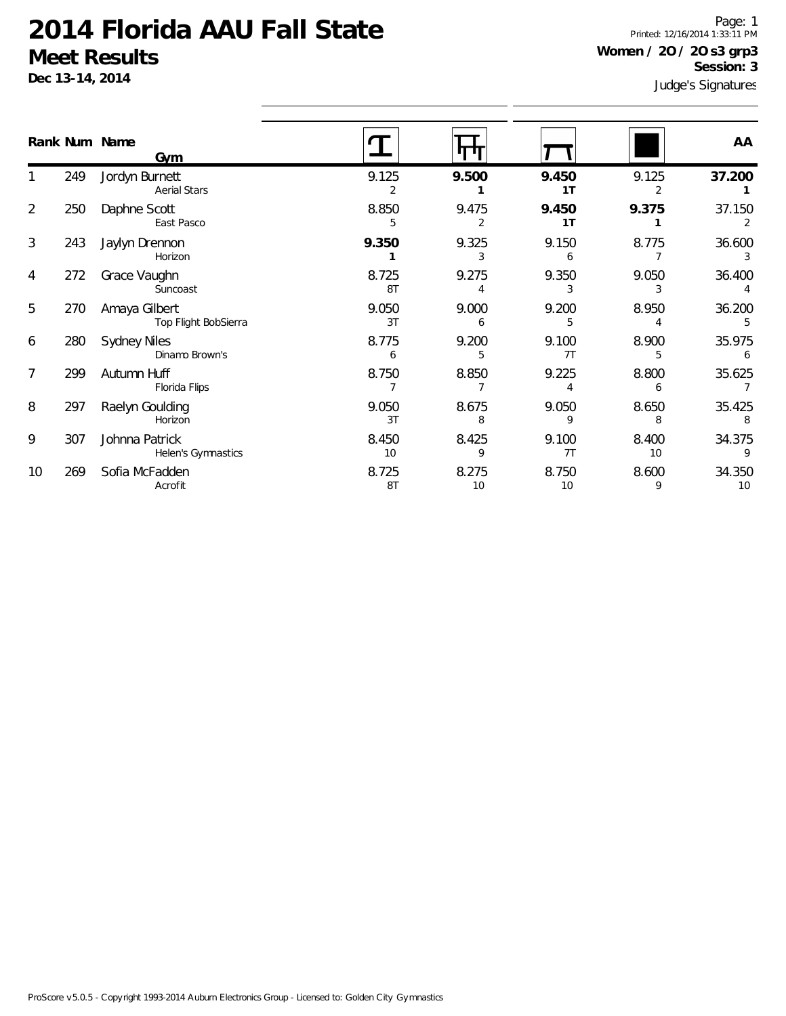**Dec 13-14, 2014**

Judge's Signatures Page: 1 Printed: 12/16/2014 1:33:11 PM **Women / 2O / 2O s3 grp3 Session: 3**

|    | Rank Num Name | Gym                                   |             |             |                         |             | AA           |
|----|---------------|---------------------------------------|-------------|-------------|-------------------------|-------------|--------------|
|    | 249           | Jordyn Burnett<br><b>Aerial Stars</b> | 9.125       | 9.500       | 9.450<br>1 <sub>T</sub> | 9.125       | 37.200       |
| 2  | 250           | Daphne Scott<br>East Pasco            | 8.850       | 9.475       | 9.450<br>1 <sub>T</sub> | 9.375       | 37.150       |
| 3  | 243           | Jaylyn Drennon<br>Horizon             | 9.350       | 9.325<br>3  | 9.150<br>6              | 8.775       | 36.600<br>3  |
| 4  | 272           | Grace Vaughn<br>Suncoast              | 8.725<br>8T | 9.275       | 9.350                   | 9.050       | 36.400       |
| 5  | 270           | Amaya Gilbert<br>Top Flight BobSierra | 9.050<br>3T | 9.000<br>6  | 9.200                   | 8.950       | 36.200       |
| 6  | 280           | <b>Sydney Niles</b><br>Dinamo Brown's | 8.775<br>6  | 9.200<br>5  | 9.100<br>7T             | 8.900       | 35.975<br>6  |
| 7  | 299           | Autumn Huff<br>Florida Flips          | 8.750       | 8.850       | 9.225                   | 8.800<br>6  | 35.625       |
| 8  | 297           | Raelyn Goulding<br>Horizon            | 9.050<br>3T | 8.675<br>8  | 9.050<br>9              | 8.650<br>8  | 35.425       |
| 9  | 307           | Johnna Patrick<br>Helen's Gymnastics  | 8.450<br>10 | 8.425<br>9  | 9.100<br>7T             | 8.400<br>10 | 34.375<br>9  |
| 10 | 269           | Sofia McFadden<br>Acrofit             | 8.725<br>8T | 8.275<br>10 | 8.750<br>10             | 8.600<br>9  | 34.350<br>10 |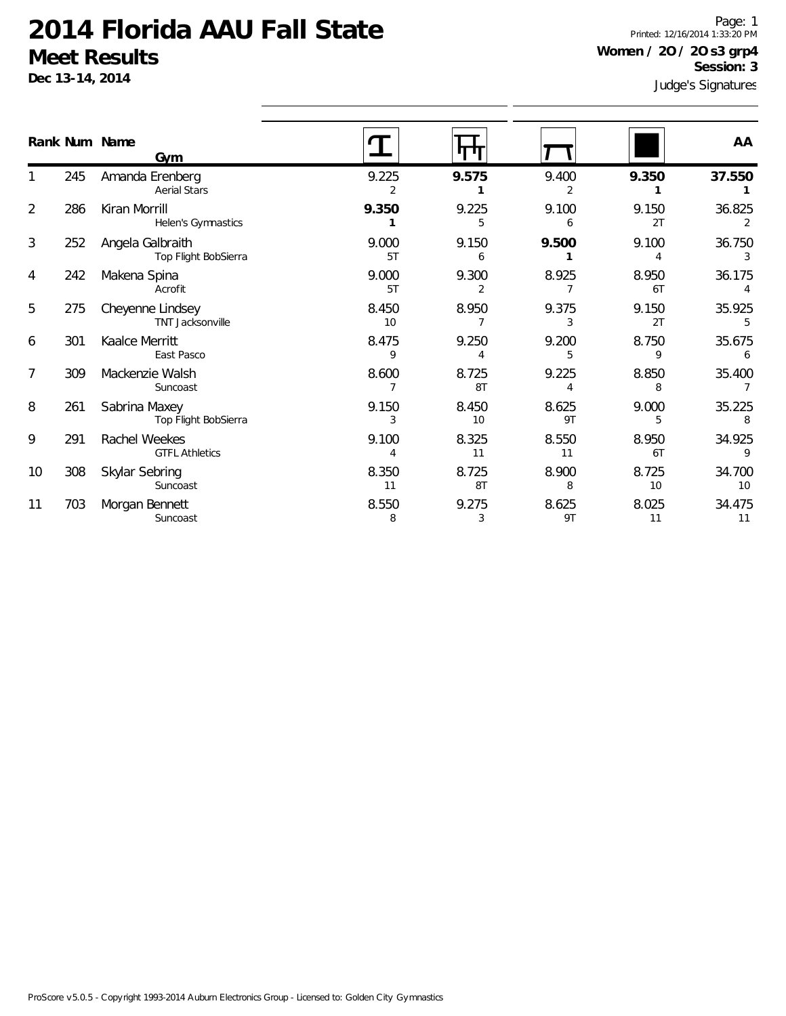**Dec 13-14, 2014**

Judge's Signatures Page: 1 Printed: 12/16/2014 1:33:20 PM **Women / 2O / 2O s3 grp4 Session: 3**

|                |     | Rank Num Name<br>Gym                        |             |             |                         |             | AA           |
|----------------|-----|---------------------------------------------|-------------|-------------|-------------------------|-------------|--------------|
|                | 245 | Amanda Erenberg<br><b>Aerial Stars</b>      | 9.225<br>2  | 9.575       | 9.400<br>2              | 9.350       | 37.550       |
| $\overline{2}$ | 286 | Kiran Morrill<br>Helen's Gymnastics         | 9.350       | 9.225<br>5  | 9.100<br>6              | 9.150<br>2T | 36.825<br>2  |
| 3              | 252 | Angela Galbraith<br>Top Flight BobSierra    | 9.000<br>5T | 9.150<br>6  | 9.500                   | 9.100<br>4  | 36.750<br>3  |
| 4              | 242 | Makena Spina<br>Acrofit                     | 9.000<br>5T | 9.300<br>2  | 8.925                   | 8.950<br>6T | 36.175       |
| 5              | 275 | Cheyenne Lindsey<br><b>TNT Jacksonville</b> | 8.450<br>10 | 8.950       | 9.375<br>3              | 9.150<br>2T | 35.925<br>5  |
| 6              | 301 | Kaalce Merritt<br>East Pasco                | 8.475<br>9  | 9.250<br>4  | 9.200<br>5              | 8.750<br>9  | 35.675<br>6  |
| 7              | 309 | Mackenzie Walsh<br>Suncoast                 | 8.600       | 8.725<br>8T | 9.225<br>$\overline{4}$ | 8.850<br>8  | 35.400       |
| 8              | 261 | Sabrina Maxey<br>Top Flight BobSierra       | 9.150<br>3  | 8.450<br>10 | 8.625<br>9T             | 9.000<br>5  | 35.225<br>8  |
| 9              | 291 | Rachel Weekes<br><b>GTFL Athletics</b>      | 9.100<br>4  | 8.325<br>11 | 8.550<br>11             | 8.950<br>6T | 34.925<br>9  |
| 10             | 308 | Skylar Sebring<br>Suncoast                  | 8.350<br>11 | 8.725<br>8T | 8.900<br>8              | 8.725<br>10 | 34.700<br>10 |
| 11             | 703 | Morgan Bennett<br>Suncoast                  | 8.550<br>8  | 9.275<br>3  | 8.625<br>9T             | 8.025<br>11 | 34.475<br>11 |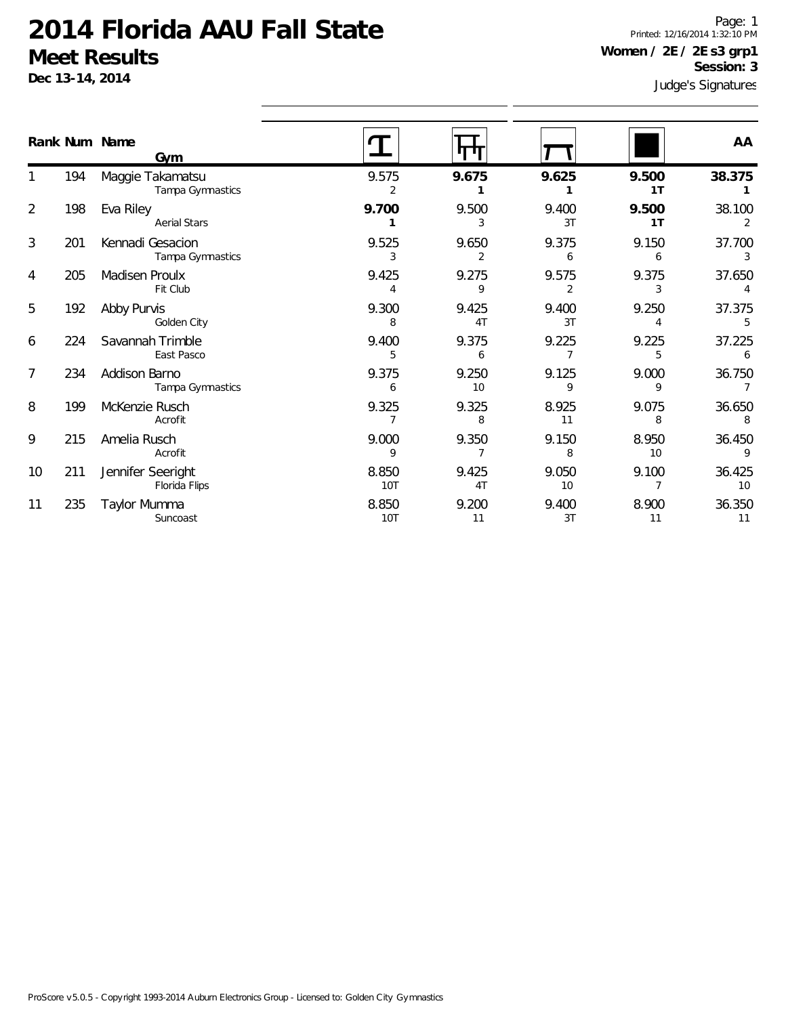**Dec 13-14, 2014**

Judge's Signatures Page: 1 Printed: 12/16/2014 1:32:10 PM **Women / 2E / 2E s3 grp1 Session: 3**

|                |     | Rank Num Name<br>Gym                 |                     |                         |             |             | AA           |
|----------------|-----|--------------------------------------|---------------------|-------------------------|-------------|-------------|--------------|
|                | 194 | Maggie Takamatsu<br>Tampa Gymnastics | 9.575               | 9.675                   | 9.625       | 9.500<br>1T | 38.375       |
| $\overline{2}$ | 198 | Eva Riley<br><b>Aerial Stars</b>     | 9.700               | 9.500<br>3              | 9.400<br>3T | 9.500<br>1T | 38.100<br>2  |
| 3              | 201 | Kennadi Gesacion<br>Tampa Gymnastics | 9.525               | 9.650<br>2              | 9.375<br>6  | 9.150<br>6  | 37.700       |
| 4              | 205 | Madisen Proulx<br>Fit Club           | 9.425<br>4          | 9.275<br>9              | 9.575       | 9.375       | 37.650       |
| 5              | 192 | Abby Purvis<br>Golden City           | 9.300<br>8          | 9.425<br>4T             | 9.400<br>3T | 9.250       | 37.375<br>5  |
| 6              | 224 | Savannah Trimble<br>East Pasco       | 9.400<br>5          | 9.375<br>6              | 9.225       | 9.225<br>5  | 37.225<br>6  |
| 7              | 234 | Addison Barno<br>Tampa Gymnastics    | 9.375<br>6          | 9.250<br>10             | 9.125<br>9  | 9.000<br>9  | 36.750       |
| 8              | 199 | McKenzie Rusch<br>Acrofit            | 9.325               | 9.325<br>8              | 8.925<br>11 | 9.075<br>8  | 36.650<br>8  |
| 9              | 215 | Amelia Rusch<br>Acrofit              | 9.000<br>9          | 9.350                   | 9.150<br>8  | 8.950<br>10 | 36.450<br>9  |
| 10             | 211 | Jennifer Seeright<br>Florida Flips   | 8.850<br>10T        | 9.425<br>4 <sub>T</sub> | 9.050<br>10 | 9.100       | 36.425<br>10 |
| 11             | 235 | Taylor Mumma<br>Suncoast             | 8.850<br><b>10T</b> | 9.200<br>11             | 9.400<br>3T | 8.900<br>11 | 36.350<br>11 |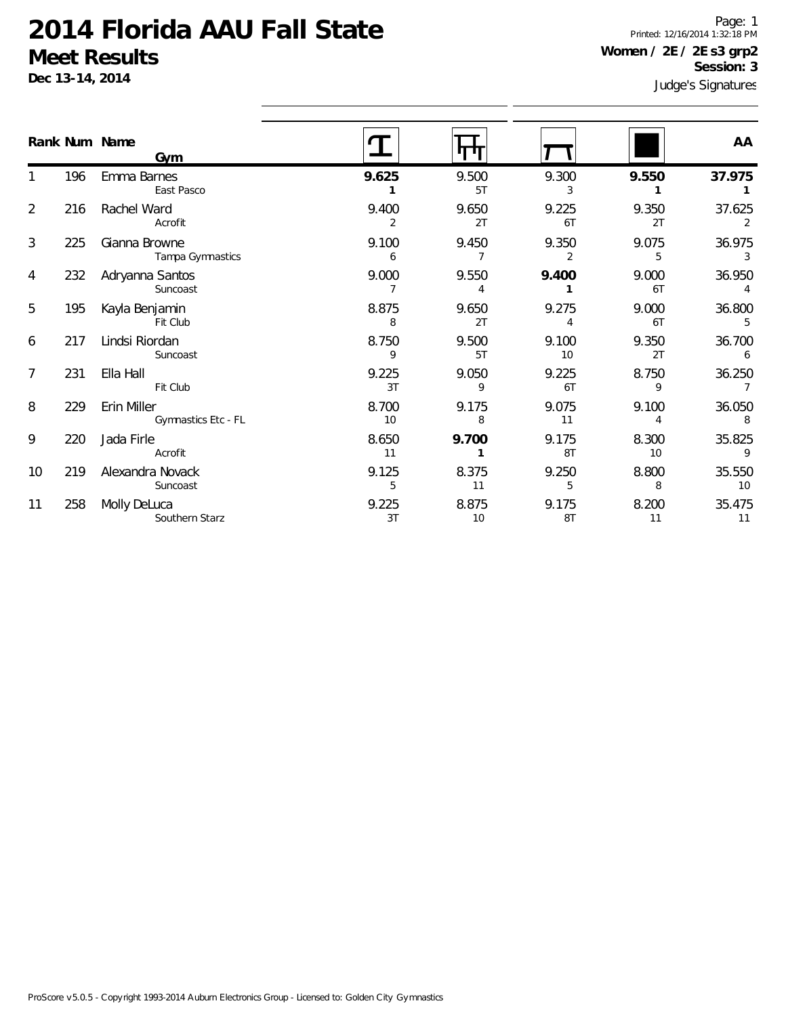**Dec 13-14, 2014**

Judge's Signatures Page: 1 Printed: 12/16/2014 1:32:18 PM **Women / 2E / 2E s3 grp2 Session: 3**

|    |     | Rank Num Name<br>Gym               |             |             |             |             | AA                       |
|----|-----|------------------------------------|-------------|-------------|-------------|-------------|--------------------------|
|    | 196 | Emma Barnes<br>East Pasco          | 9.625       | 9.500<br>5T | 9.300<br>3  | 9.550       | 37.975                   |
| 2  | 216 | Rachel Ward<br>Acrofit             | 9.400<br>2  | 9.650<br>2T | 9.225<br>6T | 9.350<br>2T | 37.625<br>2              |
| 3  | 225 | Gianna Browne<br>Tampa Gymnastics  | 9.100<br>6  | 9.450       | 9.350<br>2  | 9.075<br>5  | 36.975<br>3              |
| 4  | 232 | Adryanna Santos<br>Suncoast        | 9.000       | 9.550       | 9.400       | 9.000<br>6T | 36.950<br>$\overline{4}$ |
| 5  | 195 | Kayla Benjamin<br>Fit Club         | 8.875<br>8  | 9.650<br>2T | 9.275<br>4  | 9.000<br>6T | 36.800<br>5              |
| 6  | 217 | Lindsi Riordan<br>Suncoast         | 8.750<br>9  | 9.500<br>5T | 9.100<br>10 | 9.350<br>2T | 36.700<br>6              |
| 7  | 231 | Ella Hall<br>Fit Club              | 9.225<br>3T | 9.050<br>9  | 9.225<br>6T | 8.750<br>9  | 36.250                   |
| 8  | 229 | Erin Miller<br>Gymnastics Etc - FL | 8.700<br>10 | 9.175<br>8  | 9.075<br>11 | 9.100<br>4  | 36.050<br>8              |
| 9  | 220 | Jada Firle<br>Acrofit              | 8.650<br>11 | 9.700       | 9.175<br>8T | 8.300<br>10 | 35.825<br>9              |
| 10 | 219 | Alexandra Novack<br>Suncoast       | 9.125<br>5  | 8.375<br>11 | 9.250<br>5  | 8.800<br>8  | 35.550<br>10             |
| 11 | 258 | Molly DeLuca<br>Southern Starz     | 9.225<br>3T | 8.875<br>10 | 9.175<br>8T | 8.200<br>11 | 35.475<br>11             |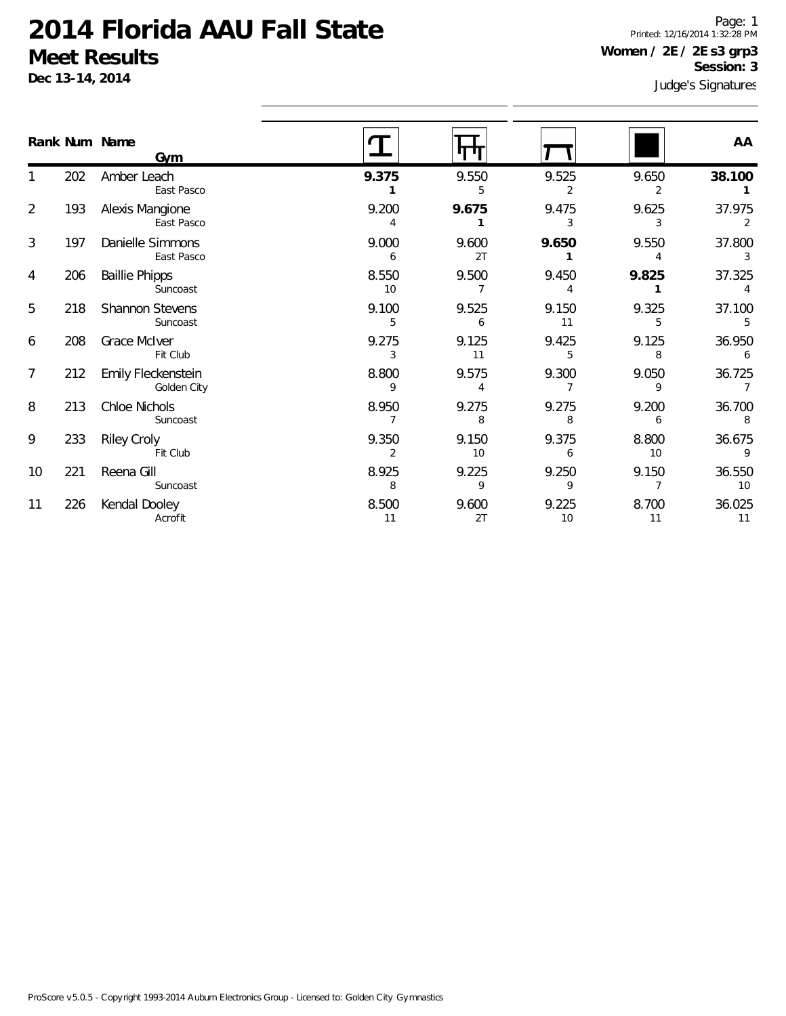**Dec 13-14, 2014**

Judge's Signatures Page: 1 Printed: 12/16/2014 1:32:28 PM **Women / 2E / 2E s3 grp3 Session: 3**

|                |     | Rank Num Name<br>Gym              |             |             |             |             | AA           |
|----------------|-----|-----------------------------------|-------------|-------------|-------------|-------------|--------------|
|                | 202 | Amber Leach<br>East Pasco         | 9.375       | 9.550       | 9.525<br>2  | 9.650       | 38.100       |
| 2              | 193 | Alexis Mangione<br>East Pasco     | 9.200       | 9.675       | 9.475       | 9.625<br>3  | 37.975<br>2  |
| 3              | 197 | Danielle Simmons<br>East Pasco    | 9.000<br>6  | 9.600<br>2T | 9.650       | 9.550       | 37.800       |
| 4              | 206 | <b>Baillie Phipps</b><br>Suncoast | 8.550<br>10 | 9.500       | 9.450       | 9.825       | 37.325       |
| 5              | 218 | Shannon Stevens<br>Suncoast       | 9.100<br>5  | 9.525<br>6  | 9.150<br>11 | 9.325       | 37.100<br>5  |
| 6              | 208 | Grace McIver<br>Fit Club          | 9.275       | 9.125<br>11 | 9.425<br>5  | 9.125<br>8  | 36.950<br>6  |
| $\overline{7}$ | 212 | Emily Fleckenstein<br>Golden City | 8.800<br>9  | 9.575       | 9.300       | 9.050<br>9  | 36.725       |
| 8              | 213 | Chloe Nichols<br>Suncoast         | 8.950       | 9.275       | 9.275<br>8  | 9.200<br>6  | 36.700<br>8  |
| 9              | 233 | <b>Riley Croly</b><br>Fit Club    | 9.350       | 9.150<br>10 | 9.375<br>6  | 8.800<br>10 | 36.675<br>9  |
| 10             | 221 | Reena Gill<br>Suncoast            | 8.925<br>8  | 9.225       | 9.250<br>9  | 9.150       | 36.550<br>10 |
| 11             | 226 | Kendal Dooley<br>Acrofit          | 8.500<br>11 | 9.600<br>2T | 9.225<br>10 | 8.700<br>11 | 36.025<br>11 |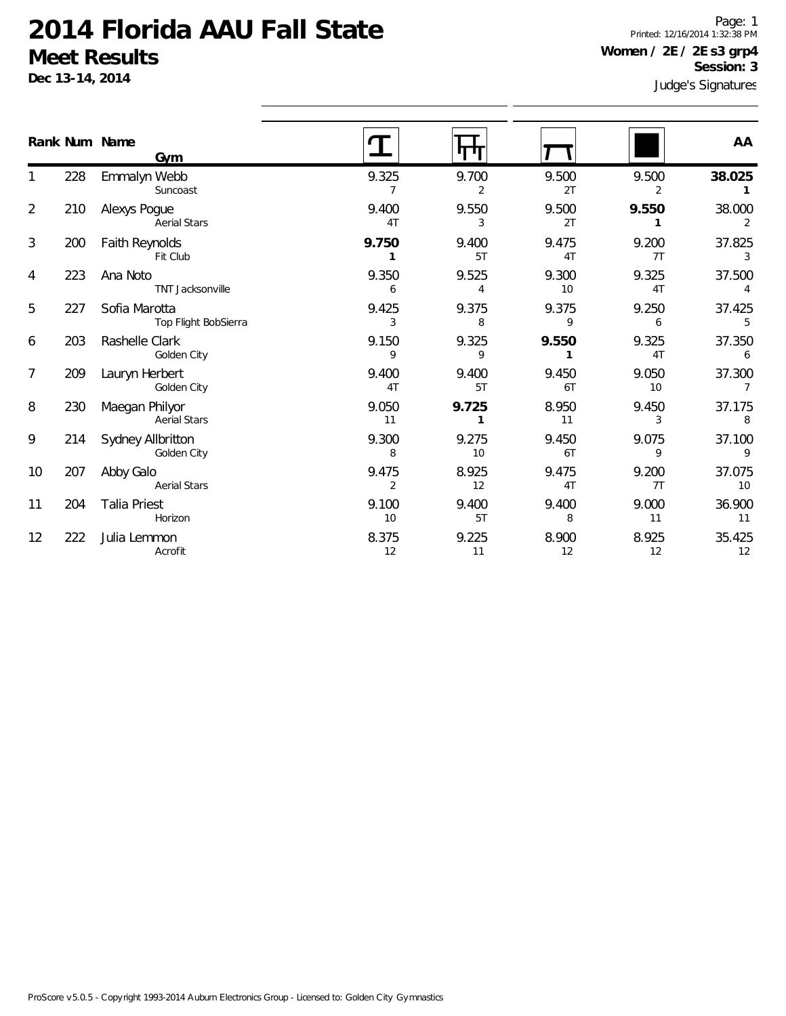**Dec 13-14, 2014**

Judge's Signatures Page: 1 Printed: 12/16/2014 1:32:38 PM **Women / 2E / 2E s3 grp4 Session: 3**

|                |     | Rank Num Name<br>Gym                  |                         |                       |             |             | AA                       |
|----------------|-----|---------------------------------------|-------------------------|-----------------------|-------------|-------------|--------------------------|
|                | 228 | Emmalyn Webb<br>Suncoast              | 9.325<br>7              | 9.700<br>2            | 9.500<br>2T | 9.500<br>2  | 38.025<br>$\mathbf{1}$   |
| $\overline{2}$ | 210 | Alexys Pogue<br><b>Aerial Stars</b>   | 9.400<br>4T             | 9.550<br>3            | 9.500<br>2T | 9.550       | 38.000<br>2              |
| 3              | 200 | Faith Reynolds<br>Fit Club            | 9.750<br>$\mathbf{1}$   | 9.400<br>5T           | 9.475<br>4T | 9.200<br>7T | 37.825<br>3              |
| 4              | 223 | Ana Noto<br>TNT Jacksonville          | 9.350<br>6              | 9.525<br>4            | 9.300<br>10 | 9.325<br>4T | 37.500<br>4              |
| 5              | 227 | Sofia Marotta<br>Top Flight BobSierra | 9.425<br>3              | 9.375<br>8            | 9.375<br>9  | 9.250<br>6  | 37.425<br>5              |
| 6              | 203 | Rashelle Clark<br>Golden City         | 9.150<br>9              | 9.325<br>9            | 9.550<br>1  | 9.325<br>4T | 37.350<br>6              |
| $\overline{7}$ | 209 | Lauryn Herbert<br>Golden City         | 9.400<br>4T             | 9.400<br>5T           | 9.450<br>6T | 9.050<br>10 | 37.300<br>$\overline{7}$ |
| 8              | 230 | Maegan Philyor<br><b>Aerial Stars</b> | 9.050<br>11             | 9.725<br>$\mathbf{1}$ | 8.950<br>11 | 9.450<br>3  | 37.175<br>8              |
| 9              | 214 | Sydney Allbritton<br>Golden City      | 9.300<br>8              | 9.275<br>10           | 9.450<br>6T | 9.075<br>9  | 37.100<br>9              |
| 10             | 207 | Abby Galo<br><b>Aerial Stars</b>      | 9.475<br>$\overline{2}$ | 8.925<br>12           | 9.475<br>4T | 9.200<br>7T | 37.075<br>10             |
| 11             | 204 | <b>Talia Priest</b><br>Horizon        | 9.100<br>10             | 9.400<br>5T           | 9.400<br>8  | 9.000<br>11 | 36.900<br>11             |
| 12             | 222 | Julia Lemmon<br>Acrofit               | 8.375<br>12             | 9.225<br>11           | 8.900<br>12 | 8.925<br>12 | 35.425<br>12             |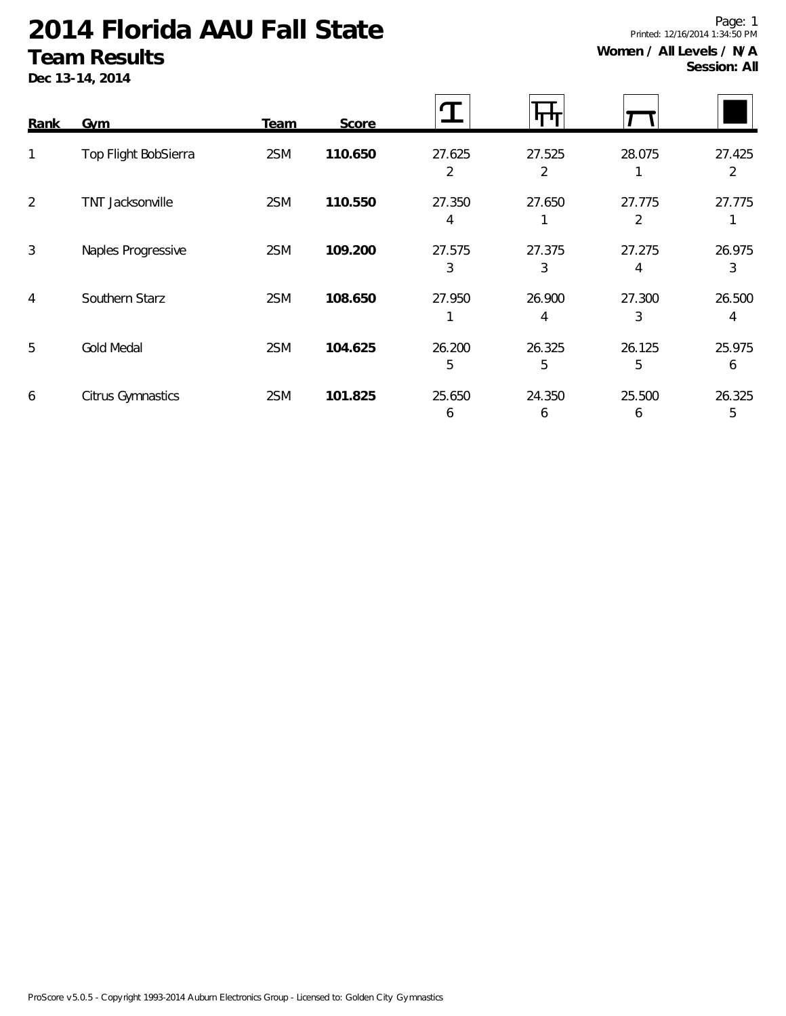**Dec 13-14, 2014**

| Rank           | <b>Gym</b>           | <b>Team</b> | Score   |             |             |             |             |
|----------------|----------------------|-------------|---------|-------------|-------------|-------------|-------------|
| 1              | Top Flight BobSierra | 2SM         | 110.650 | 27.625<br>2 | 27.525<br>2 | 28.075      | 27.425<br>2 |
| $\overline{2}$ | TNT Jacksonville     | 2SM         | 110.550 | 27.350<br>4 | 27.650      | 27.775<br>2 | 27.775      |
| 3              | Naples Progressive   | 2SM         | 109.200 | 27.575<br>3 | 27.375<br>3 | 27.275<br>4 | 26.975<br>3 |
| 4              | Southern Starz       | 2SM         | 108.650 | 27.950      | 26.900<br>4 | 27.300<br>3 | 26.500<br>4 |
| 5              | <b>Gold Medal</b>    | 2SM         | 104.625 | 26.200<br>5 | 26.325<br>5 | 26.125<br>5 | 25.975<br>6 |
| 6              | Citrus Gymnastics    | 2SM         | 101.825 | 25.650<br>6 | 24.350<br>6 | 25.500<br>6 | 26.325<br>5 |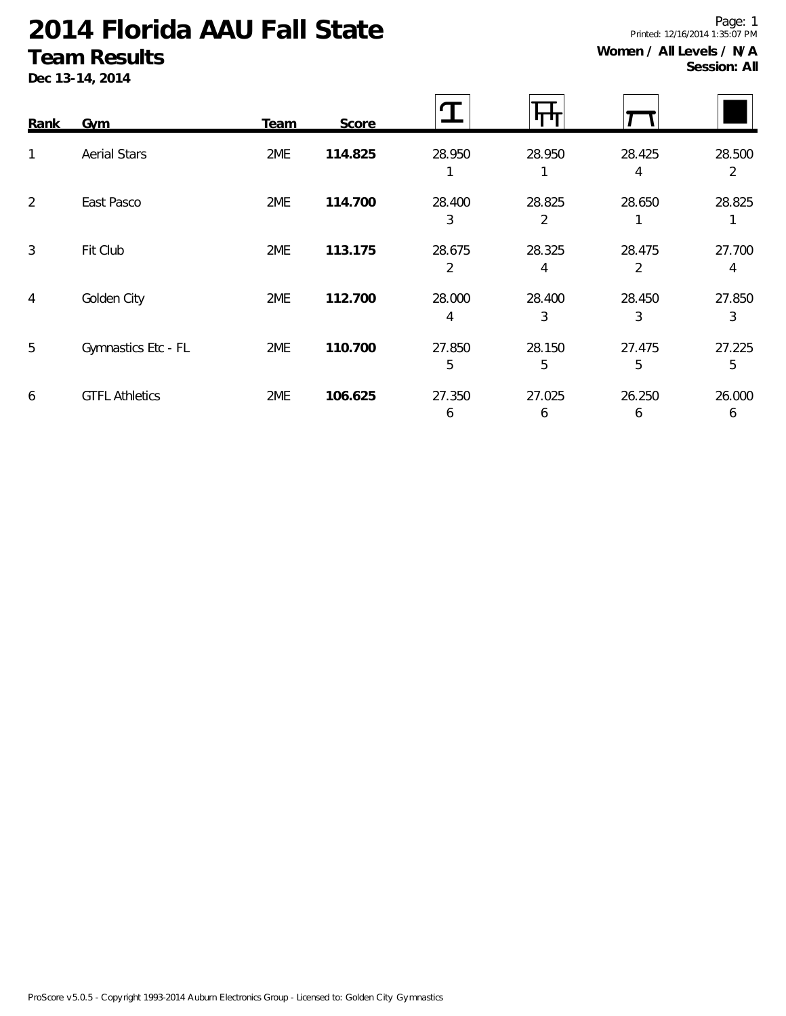**Dec 13-14, 2014**

| <b>SESSIOLI: AIL</b> |
|----------------------|
|                      |
|                      |

| <b>Rank</b>    | <b>Gym</b>            | <b>Team</b> | Score   |             | <b>11 T</b> |             |                          |
|----------------|-----------------------|-------------|---------|-------------|-------------|-------------|--------------------------|
| $\mathbf{1}$   | <b>Aerial Stars</b>   | 2ME         | 114.825 | 28.950      | 28.950      | 28.425<br>4 | 28.500<br>$\overline{2}$ |
| 2              | East Pasco            | 2ME         | 114.700 | 28.400<br>3 | 28.825<br>2 | 28.650      | 28.825                   |
| $\mathfrak{Z}$ | Fit Club              | 2ME         | 113.175 | 28.675<br>2 | 28.325<br>4 | 28.475<br>2 | 27.700<br>4              |
| $\overline{4}$ | Golden City           | 2ME         | 112.700 | 28.000<br>4 | 28.400<br>3 | 28.450<br>3 | 27.850<br>3              |
| 5              | Gymnastics Etc - FL   | 2ME         | 110.700 | 27.850<br>5 | 28.150<br>5 | 27.475<br>5 | 27.225<br>5              |
| 6              | <b>GTFL Athletics</b> | 2ME         | 106.625 | 27.350<br>6 | 27.025<br>6 | 26.250<br>6 | 26.000<br>6              |